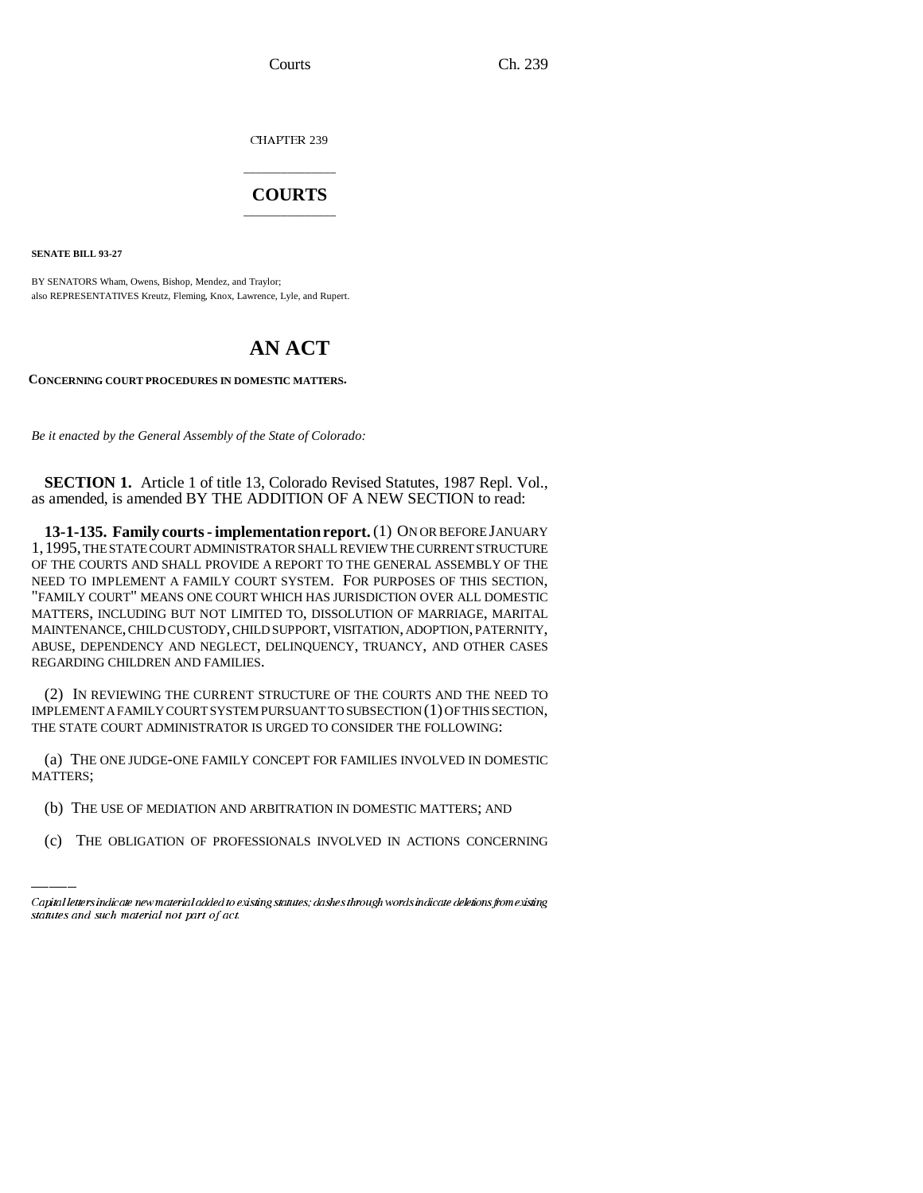CHAPTER 239

## \_\_\_\_\_\_\_\_\_\_\_\_\_\_\_ **COURTS** \_\_\_\_\_\_\_\_\_\_\_\_\_\_\_

**SENATE BILL 93-27**

BY SENATORS Wham, Owens, Bishop, Mendez, and Traylor; also REPRESENTATIVES Kreutz, Fleming, Knox, Lawrence, Lyle, and Rupert.

## **AN ACT**

**CONCERNING COURT PROCEDURES IN DOMESTIC MATTERS.** 

*Be it enacted by the General Assembly of the State of Colorado:*

**SECTION 1.** Article 1 of title 13, Colorado Revised Statutes, 1987 Repl. Vol., as amended, is amended BY THE ADDITION OF A NEW SECTION to read:

**13-1-135. Family courts - implementation report.** (1) ON OR BEFORE JANUARY 1,1995, THE STATE COURT ADMINISTRATOR SHALL REVIEW THE CURRENT STRUCTURE OF THE COURTS AND SHALL PROVIDE A REPORT TO THE GENERAL ASSEMBLY OF THE NEED TO IMPLEMENT A FAMILY COURT SYSTEM. FOR PURPOSES OF THIS SECTION, "FAMILY COURT" MEANS ONE COURT WHICH HAS JURISDICTION OVER ALL DOMESTIC MATTERS, INCLUDING BUT NOT LIMITED TO, DISSOLUTION OF MARRIAGE, MARITAL MAINTENANCE, CHILD CUSTODY, CHILD SUPPORT, VISITATION, ADOPTION, PATERNITY, ABUSE, DEPENDENCY AND NEGLECT, DELINQUENCY, TRUANCY, AND OTHER CASES REGARDING CHILDREN AND FAMILIES.

(2) IN REVIEWING THE CURRENT STRUCTURE OF THE COURTS AND THE NEED TO IMPLEMENT A FAMILY COURT SYSTEM PURSUANT TO SUBSECTION (1) OF THIS SECTION, THE STATE COURT ADMINISTRATOR IS URGED TO CONSIDER THE FOLLOWING:

MATTERS; (a) THE ONE JUDGE-ONE FAMILY CONCEPT FOR FAMILIES INVOLVED IN DOMESTIC

- (b) THE USE OF MEDIATION AND ARBITRATION IN DOMESTIC MATTERS; AND
- (c) THE OBLIGATION OF PROFESSIONALS INVOLVED IN ACTIONS CONCERNING

Capital letters indicate new material added to existing statutes; dashes through words indicate deletions from existing statutes and such material not part of act.